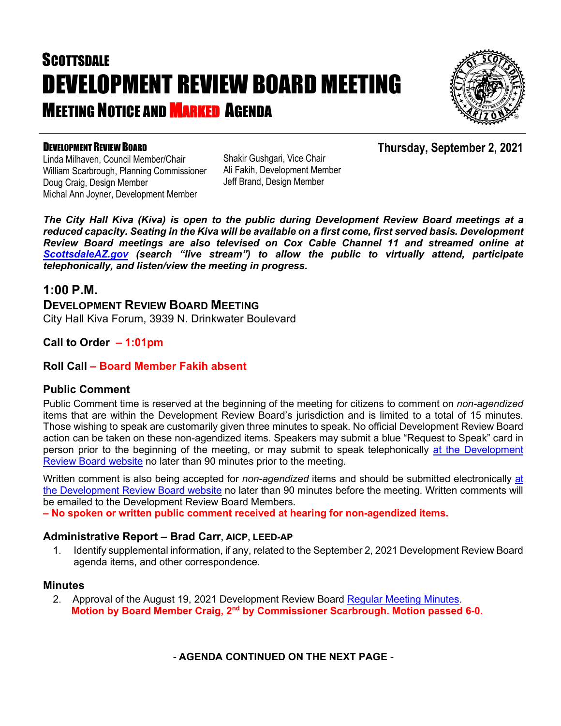# **SCOTTSDALE** DEVELOPMENT REVIEW BOARD MEETING **MEETING NOTICE AND MARKED AGENDA**



**Thursday, September 2, 2021**

### DEVELOPMENT REVIEW BOARD

Linda Milhaven, Council Member/Chair William Scarbrough, Planning Commissioner Doug Craig, Design Member Michal Ann Joyner, Development Member

Shakir Gushgari, Vice Chair Ali Fakih, Development Member Jeff Brand, Design Member

*The City Hall Kiva (Kiva) is open to the public during Development Review Board meetings at a reduced capacity. Seating in the Kiva will be available on a first come, first served basis. Development Review Board meetings are also televised on Cox Cable Channel 11 and streamed online at [ScottsdaleAZ.gov](http://www.scottsdaleaz.gov/) (search "live stream") to allow the public to virtually attend, participate telephonically, and listen/view the meeting in progress.*

## **1:00 P.M.**

**DEVELOPMENT REVIEW BOARD MEETING**  City Hall Kiva Forum, 3939 N. Drinkwater Boulevard

## **Call to Order – 1:01pm**

### **Roll Call – Board Member Fakih absent**

#### **Public Comment**

Public Comment time is reserved at the beginning of the meeting for citizens to comment on *non-agendized* items that are within the Development Review Board's jurisdiction and is limited to a total of 15 minutes. Those wishing to speak are customarily given three minutes to speak. No official Development Review Board action can be taken on these non-agendized items. Speakers may submit a blue "Request to Speak" card in person prior to the beginning of the meeting, or may submit to speak telephonically [at the Development](https://www.scottsdaleaz.gov/boards/development-review-board/spoken-comment)  [Review Board website](https://www.scottsdaleaz.gov/boards/development-review-board/spoken-comment) no later than 90 minutes prior to the meeting.

Written comment is also being accepted for *non-agendized* items and should be submitted electronically [at](https://www.scottsdaleaz.gov/boards/development-review-board/public-comment)  [the Development Review Board website](https://www.scottsdaleaz.gov/boards/development-review-board/public-comment) no later than 90 minutes before the meeting. Written comments will be emailed to the Development Review Board Members.

**– No spoken or written public comment received at hearing for non-agendized items.**

#### **Administrative Report – Brad Carr, AICP, LEED-AP**

1. Identify supplemental information, if any, related to the September 2, 2021 Development Review Board agenda items, and other correspondence.

#### **Minutes**

2. Approval of the August 19, 2021 Development Review Board [Regular Meeting Minutes.](https://eservices.scottsdaleaz.gov/planning/projectsummary/unrelated_documents/DRB_MEETING_MINUTES_08192021.pdf) **Motion by Board Member Craig, 2nd by Commissioner Scarbrough. Motion passed 6-0.**

**- AGENDA CONTINUED ON THE NEXT PAGE -**